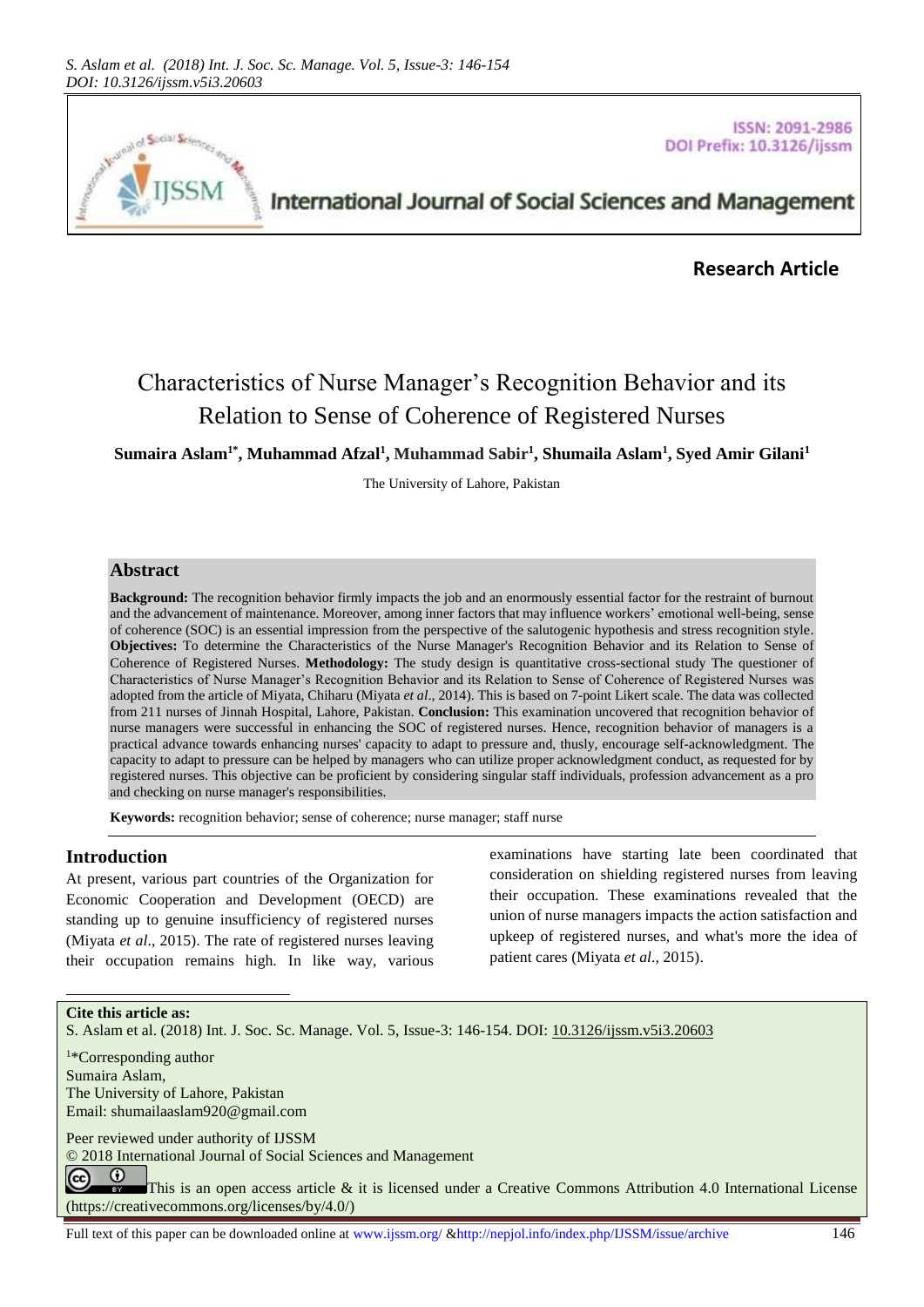

ISSN: 2091-2986 DOI Prefix: 10.3126/ijssm

# International Journal of Social Sciences and Management

**Research Article**

# Characteristics of Nurse Manager's Recognition Behavior and its Relation to Sense of Coherence of Registered Nurses

**Sumaira Aslam1\* , Muhammad Afzal<sup>1</sup> , Muhammad Sabir<sup>1</sup> , Shumaila Aslam<sup>1</sup> , Syed Amir Gilani<sup>1</sup>**

The University of Lahore, Pakistan

# **Abstract**

**Background:** The recognition behavior firmly impacts the job and an enormously essential factor for the restraint of burnout and the advancement of maintenance. Moreover, among inner factors that may influence workers' emotional well-being, sense of coherence (SOC) is an essential impression from the perspective of the salutogenic hypothesis and stress recognition style. **Objectives:** To determine the Characteristics of the Nurse Manager's Recognition Behavior and its Relation to Sense of Coherence of Registered Nurses. **Methodology:** The study design is quantitative cross-sectional study The questioner of Characteristics of Nurse Manager's Recognition Behavior and its Relation to Sense of Coherence of Registered Nurses was adopted from the article of Miyata, Chiharu (Miyata *et al*., 2014). This is based on 7-point Likert scale. The data was collected from 211 nurses of Jinnah Hospital, Lahore, Pakistan. **Conclusion:** This examination uncovered that recognition behavior of nurse managers were successful in enhancing the SOC of registered nurses. Hence, recognition behavior of managers is a practical advance towards enhancing nurses' capacity to adapt to pressure and, thusly, encourage self-acknowledgment. The capacity to adapt to pressure can be helped by managers who can utilize proper acknowledgment conduct, as requested for by registered nurses. This objective can be proficient by considering singular staff individuals, profession advancement as a pro and checking on nurse manager's responsibilities.

**Keywords:** recognition behavior; sense of coherence; nurse manager; staff nurse

### **Introduction**

At present, various part countries of the Organization for Economic Cooperation and Development (OECD) are standing up to genuine insufficiency of registered nurses (Miyata *et al*., 2015). The rate of registered nurses leaving their occupation remains high. In like way, various

examinations have starting late been coordinated that consideration on shielding registered nurses from leaving their occupation. These examinations revealed that the union of nurse managers impacts the action satisfaction and upkeep of registered nurses, and what's more the idea of patient cares (Miyata *et al*., 2015).

#### **Cite this article as:**

l

S. Aslam et al. (2018) Int. J. Soc. Sc. Manage. Vol. 5, Issue-3: 146-154. DOI[: 10.3126/ijssm.v5i3.20603](http://dx.doi.org/10.3126/ijssm.v5i3.20603)

<sup>1</sup>\*Corresponding author Sumaira Aslam, The University of Lahore, Pakistan Email[: shumailaaslam920@gmail.com](mailto:shumailaaslam920@gmail.com)

Peer reviewed under authority of IJSSM

© 2018 International Journal of Social Sciences and Management

 $\odot$  $\odot$ This is an open access article & it is licensed under a Creative Commons Attribution 4.0 International License [\(https://creativecommons.org/licenses/by/4.0/\)](https://creativecommons.org/licenses/by/4.0/)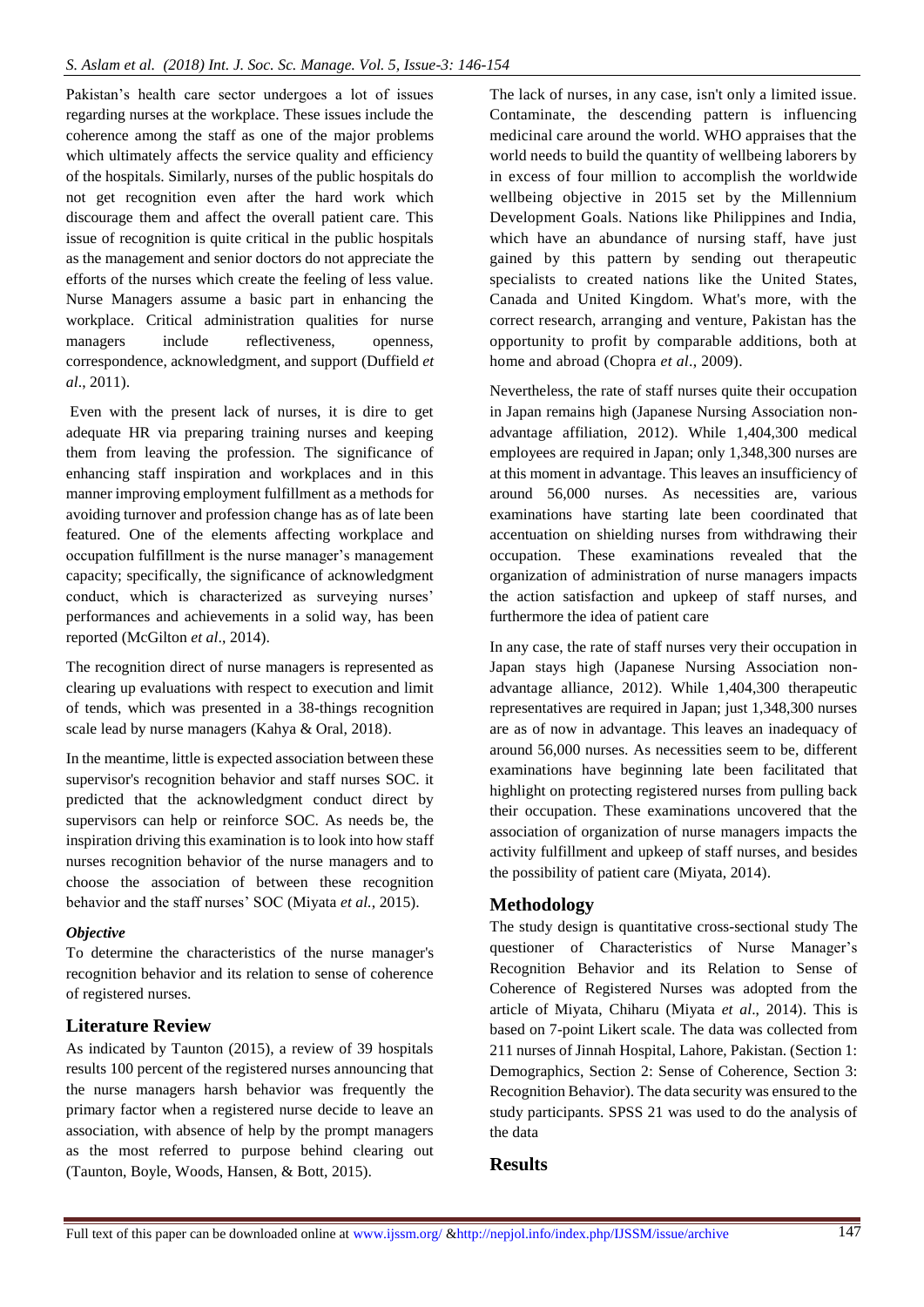Pakistan's health care sector undergoes a lot of issues regarding nurses at the workplace. These issues include the coherence among the staff as one of the major problems which ultimately affects the service quality and efficiency of the hospitals. Similarly, nurses of the public hospitals do not get recognition even after the hard work which discourage them and affect the overall patient care. This issue of recognition is quite critical in the public hospitals as the management and senior doctors do not appreciate the efforts of the nurses which create the feeling of less value. Nurse Managers assume a basic part in enhancing the workplace. Critical administration qualities for nurse managers include reflectiveness, openness, correspondence, acknowledgment, and support (Duffield *et al*., 2011).

Even with the present lack of nurses, it is dire to get adequate HR via preparing training nurses and keeping them from leaving the profession. The significance of enhancing staff inspiration and workplaces and in this manner improving employment fulfillment as a methods for avoiding turnover and profession change has as of late been featured. One of the elements affecting workplace and occupation fulfillment is the nurse manager's management capacity; specifically, the significance of acknowledgment conduct, which is characterized as surveying nurses' performances and achievements in a solid way, has been reported (McGilton *et al*., 2014).

The recognition direct of nurse managers is represented as clearing up evaluations with respect to execution and limit of tends, which was presented in a 38-things recognition scale lead by nurse managers (Kahya & Oral, 2018).

In the meantime, little is expected association between these supervisor's recognition behavior and staff nurses SOC. it predicted that the acknowledgment conduct direct by supervisors can help or reinforce SOC. As needs be, the inspiration driving this examination is to look into how staff nurses recognition behavior of the nurse managers and to choose the association of between these recognition behavior and the staff nurses' SOC (Miyata *et al.*, 2015).

# *Objective*

To determine the characteristics of the nurse manager's recognition behavior and its relation to sense of coherence of registered nurses.

# **Literature Review**

As indicated by Taunton (2015), a review of 39 hospitals results 100 percent of the registered nurses announcing that the nurse managers harsh behavior was frequently the primary factor when a registered nurse decide to leave an association, with absence of help by the prompt managers as the most referred to purpose behind clearing out (Taunton, Boyle, Woods, Hansen, & Bott, 2015).

The lack of nurses, in any case, isn't only a limited issue. Contaminate, the descending pattern is influencing medicinal care around the world. WHO appraises that the world needs to build the quantity of wellbeing laborers by in excess of four million to accomplish the worldwide wellbeing objective in 2015 set by the Millennium Development Goals. Nations like Philippines and India, which have an abundance of nursing staff, have just gained by this pattern by sending out therapeutic specialists to created nations like the United States, Canada and United Kingdom. What's more, with the correct research, arranging and venture, Pakistan has the opportunity to profit by comparable additions, both at home and abroad (Chopra *et al*., 2009).

Nevertheless, the rate of staff nurses quite their occupation in Japan remains high (Japanese Nursing Association nonadvantage affiliation, 2012). While 1,404,300 medical employees are required in Japan; only 1,348,300 nurses are at this moment in advantage. This leaves an insufficiency of around 56,000 nurses. As necessities are, various examinations have starting late been coordinated that accentuation on shielding nurses from withdrawing their occupation. These examinations revealed that the organization of administration of nurse managers impacts the action satisfaction and upkeep of staff nurses, and furthermore the idea of patient care

In any case, the rate of staff nurses very their occupation in Japan stays high (Japanese Nursing Association nonadvantage alliance, 2012). While 1,404,300 therapeutic representatives are required in Japan; just 1,348,300 nurses are as of now in advantage. This leaves an inadequacy of around 56,000 nurses. As necessities seem to be, different examinations have beginning late been facilitated that highlight on protecting registered nurses from pulling back their occupation. These examinations uncovered that the association of organization of nurse managers impacts the activity fulfillment and upkeep of staff nurses, and besides the possibility of patient care (Miyata, 2014).

# **Methodology**

The study design is quantitative cross-sectional study The questioner of Characteristics of Nurse Manager's Recognition Behavior and its Relation to Sense of Coherence of Registered Nurses was adopted from the article of Miyata, Chiharu (Miyata *et al*., 2014). This is based on 7-point Likert scale. The data was collected from 211 nurses of Jinnah Hospital, Lahore, Pakistan. (Section 1: Demographics, Section 2: Sense of Coherence, Section 3: Recognition Behavior). The data security was ensured to the study participants. SPSS 21 was used to do the analysis of the data

# **Results**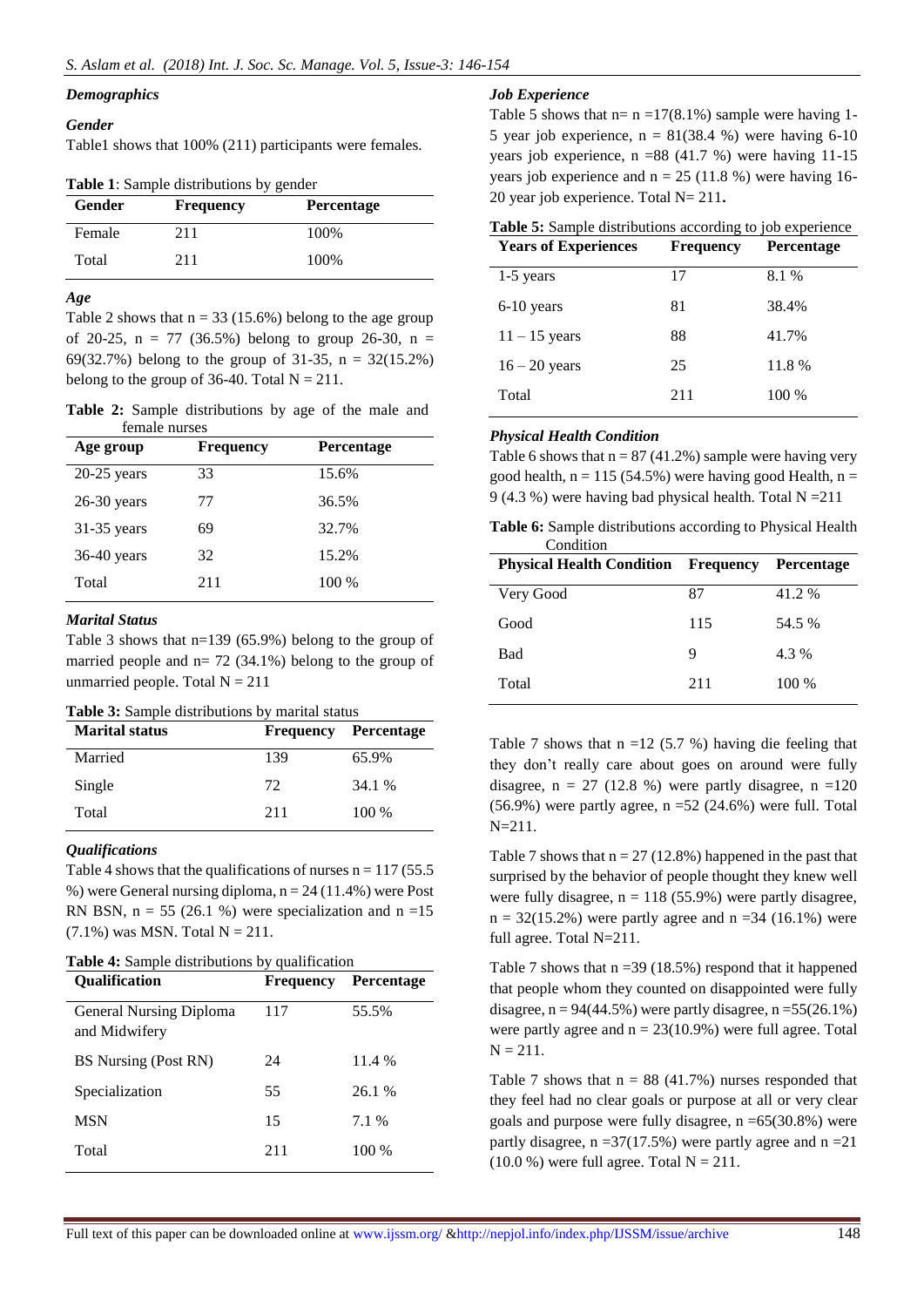#### *Demographics*

#### *Gender*

Table1 shows that 100% (211) participants were females.

| Table 1: Sample distributions by gender |
|-----------------------------------------|
|-----------------------------------------|

| <b>Gender</b> | <b>Frequency</b> | <b>Percentage</b> |
|---------------|------------------|-------------------|
| Female        | 211              | 100%              |
| Total         | 211              | 100\%             |

#### *Age*

Table 2 shows that  $n = 33$  (15.6%) belong to the age group of 20-25,  $n = 77$  (36.5%) belong to group 26-30,  $n =$ 69(32.7%) belong to the group of 31-35,  $n = 32(15.2\%)$ belong to the group of 36-40. Total  $N = 211$ .

**Table 2:** Sample distributions by age of the male and female nurses

| Age group     | <b>Frequency</b> | Percentage |
|---------------|------------------|------------|
| $20-25$ years | 33               | 15.6%      |
| $26-30$ years | 77               | 36.5%      |
| $31-35$ years | 69               | 32.7%      |
| $36-40$ years | 32               | 15.2%      |
| Total         | 211              | 100 %      |

#### *Marital Status*

Table 3 shows that n=139 (65.9%) belong to the group of married people and  $n= 72$  (34.1%) belong to the group of unmarried people. Total  $N = 211$ 

#### **Table 3:** Sample distributions by marital status

| <b>Marital status</b> | <b>Frequency</b> | <b>Percentage</b> |  |  |  |
|-----------------------|------------------|-------------------|--|--|--|
| Married               | 139              | 65.9%             |  |  |  |
| Single                | 72               | 34.1 %            |  |  |  |
| Total                 | 211              | 100 %             |  |  |  |

#### *Qualifications*

Table 4 shows that the qualifications of nurses  $n = 117$  (55.5) %) were General nursing diploma, n = 24 (11.4%) were Post RN BSN,  $n = 55$  (26.1 %) were specialization and  $n = 15$  $(7.1\%)$  was MSN. Total N = 211.

**Table 4:** Sample distributions by qualification

| <b>Oualification</b>                            | <b>Frequency</b> | <b>Percentage</b> |
|-------------------------------------------------|------------------|-------------------|
| <b>General Nursing Diploma</b><br>and Midwifery | 117              | 55.5%             |
| <b>BS</b> Nursing (Post RN)                     | 24               | 11.4 %            |
| Specialization                                  | 55               | 26.1 %            |
| <b>MSN</b>                                      | 15               | 7.1 %             |
| Total                                           | 211              | 100 %             |
|                                                 |                  |                   |

#### *Job Experience*

Table 5 shows that  $n = n = 17(8.1\%)$  sample were having 1-5 year job experience,  $n = 81(38.4 %)$  were having 6-10 years job experience,  $n = 88$  (41.7 %) were having 11-15 years job experience and  $n = 25$  (11.8 %) were having 16-20 year job experience. Total N= 211**.**

| Table 5: Sample distributions according to job experience |
|-----------------------------------------------------------|
|-----------------------------------------------------------|

| <b>Years of Experiences</b> | <b>Frequency</b> | <b>Percentage</b> |
|-----------------------------|------------------|-------------------|
| $1-5$ years                 | 17               | 8.1 %             |
| $6-10$ years                | 81               | 38.4%             |
| $11 - 15$ years             | 88               | 41.7%             |
| $16 - 20$ years             | 25               | 11.8 %            |
| Total                       | 211              | 100 %             |
|                             |                  |                   |

#### *Physical Health Condition*

Table 6 shows that  $n = 87$  (41.2%) sample were having very good health,  $n = 115$  (54.5%) were having good Health,  $n =$ 9 (4.3 %) were having bad physical health. Total N =211

**Table 6:** Sample distributions according to Physical Health Condition

| <b>Physical Health Condition Frequency</b> |     | <b>Percentage</b> |
|--------------------------------------------|-----|-------------------|
| Very Good                                  | 87  | 41.2 %            |
| Good                                       | 115 | 54.5 %            |
| Bad                                        | 9   | 4.3 %             |
| Total                                      | 211 | 100 %             |

Table 7 shows that  $n = 12$  (5.7 %) having die feeling that they don't really care about goes on around were fully disagree,  $n = 27$  (12.8 %) were partly disagree,  $n = 120$  $(56.9\%)$  were partly agree, n =52 (24.6%) were full. Total  $N = 211$ .

Table 7 shows that  $n = 27$  (12.8%) happened in the past that surprised by the behavior of people thought they knew well were fully disagree,  $n = 118$  (55.9%) were partly disagree,  $n = 32(15.2%)$  were partly agree and  $n = 34 (16.1%)$  were full agree. Total N=211.

Table 7 shows that  $n = 39$  (18.5%) respond that it happened that people whom they counted on disappointed were fully disagree,  $n = 94(44.5\%)$  were partly disagree,  $n = 55(26.1\%)$ were partly agree and  $n = 23(10.9%)$  were full agree. Total  $N = 211.$ 

Table 7 shows that  $n = 88$  (41.7%) nurses responded that they feel had no clear goals or purpose at all or very clear goals and purpose were fully disagree,  $n = 65(30.8%)$  were partly disagree,  $n = 37(17.5\%)$  were partly agree and  $n = 21$  $(10.0 %)$  were full agree. Total  $N = 211$ .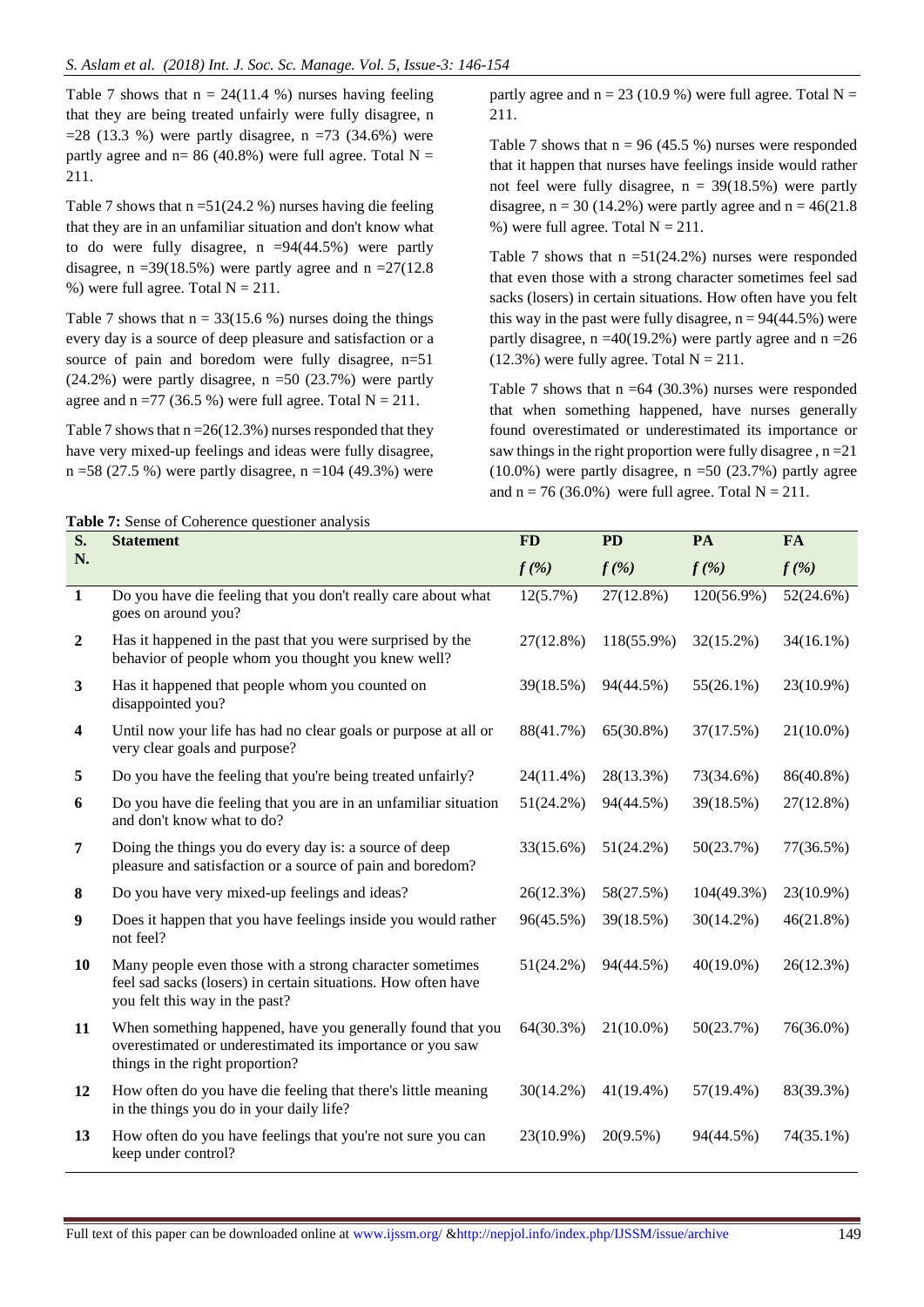Table 7 shows that  $n = 24(11.4 %)$  nurses having feeling that they are being treated unfairly were fully disagree, n  $=28$  (13.3 %) were partly disagree, n  $=73$  (34.6%) were partly agree and  $n= 86$  (40.8%) were full agree. Total N = 211.

Table 7 shows that  $n = 51(24.2 \%)$  nurses having die feeling that they are in an unfamiliar situation and don't know what to do were fully disagree,  $n = 94(44.5%)$  were partly disagree,  $n = 39(18.5%)$  were partly agree and  $n = 27(12.8)$ %) were full agree. Total  $N = 211$ .

Table 7 shows that  $n = 33(15.6 %)$  nurses doing the things every day is a source of deep pleasure and satisfaction or a source of pain and boredom were fully disagree, n=51  $(24.2\%)$  were partly disagree, n =50 (23.7%) were partly agree and  $n = 77$  (36.5 %) were full agree. Total  $N = 211$ .

Table 7 shows that  $n = 26(12.3\%)$  nurses responded that they have very mixed-up feelings and ideas were fully disagree, n =58 (27.5 %) were partly disagree, n =104 (49.3%) were

partly agree and  $n = 23$  (10.9 %) were full agree. Total  $N =$ 211.

Table 7 shows that  $n = 96 (45.5 %)$  nurses were responded that it happen that nurses have feelings inside would rather not feel were fully disagree,  $n = 39(18.5%)$  were partly disagree,  $n = 30$  (14.2%) were partly agree and  $n = 46(21.8)$ %) were full agree. Total  $N = 211$ .

Table 7 shows that  $n = 51(24.2%)$  nurses were responded that even those with a strong character sometimes feel sad sacks (losers) in certain situations. How often have you felt this way in the past were fully disagree,  $n = 94(44.5%)$  were partly disagree,  $n = 40(19.2\%)$  were partly agree and  $n = 26$  $(12.3\%)$  were fully agree. Total  $N = 211$ .

Table 7 shows that  $n = 64$  (30.3%) nurses were responded that when something happened, have nurses generally found overestimated or underestimated its importance or saw things in the right proportion were fully disagree ,  $n = 21$  $(10.0\%)$  were partly disagree, n =50 (23.7%) partly agree and  $n = 76$  (36.0%) were full agree. Total  $N = 211$ .

| S.                      | <b>rapic</b> <i>i</i> . Scase of Concretice questioner analysis<br><b>Statement</b>                                                                         | <b>FD</b>    | <b>PD</b>    | PA           | <b>FA</b>    |
|-------------------------|-------------------------------------------------------------------------------------------------------------------------------------------------------------|--------------|--------------|--------------|--------------|
| N.                      |                                                                                                                                                             | $f(\%)$      | $f(\%)$      | $f(\%)$      | $f(\%)$      |
| $\mathbf{1}$            | Do you have die feeling that you don't really care about what<br>goes on around you?                                                                        | 12(5.7%)     | 27(12.8%)    | 120(56.9%)   | 52(24.6%)    |
| $\overline{2}$          | Has it happened in the past that you were surprised by the<br>behavior of people whom you thought you knew well?                                            | 27(12.8%)    | 118(55.9%)   | $32(15.2\%)$ | $34(16.1\%)$ |
| $\mathbf{3}$            | Has it happened that people whom you counted on<br>disappointed you?                                                                                        | 39(18.5%)    | 94(44.5%)    | $55(26.1\%)$ | 23(10.9%)    |
| $\overline{\mathbf{4}}$ | Until now your life has had no clear goals or purpose at all or<br>very clear goals and purpose?                                                            | 88(41.7%)    | $65(30.8\%)$ | 37(17.5%)    | $21(10.0\%)$ |
| 5                       | Do you have the feeling that you're being treated unfairly?                                                                                                 | 24(11.4%)    | 28(13.3%)    | 73(34.6%)    | 86(40.8%)    |
| 6                       | Do you have die feeling that you are in an unfamiliar situation<br>and don't know what to do?                                                               |              | 94(44.5%)    | 39(18.5%)    | 27(12.8%)    |
| 7                       | Doing the things you do every day is: a source of deep<br>pleasure and satisfaction or a source of pain and boredom?                                        |              | $51(24.2\%)$ | 50(23.7%)    | $77(36.5\%)$ |
| 8                       | Do you have very mixed-up feelings and ideas?                                                                                                               | 26(12.3%)    | 58(27.5%)    | 104(49.3%)   | 23(10.9%)    |
| 9                       | Does it happen that you have feelings inside you would rather<br>not feel?                                                                                  | 96(45.5%)    | 39(18.5%)    | $30(14.2\%)$ | 46(21.8%)    |
| 10                      | Many people even those with a strong character sometimes<br>feel sad sacks (losers) in certain situations. How often have<br>you felt this way in the past? | $51(24.2\%)$ | 94(44.5%)    | 40(19.0%)    | 26(12.3%)    |
| 11                      | When something happened, have you generally found that you<br>overestimated or underestimated its importance or you saw<br>things in the right proportion?  | 64(30.3%)    | $21(10.0\%)$ | 50(23.7%)    | 76(36.0%)    |
| 12                      | How often do you have die feeling that there's little meaning<br>in the things you do in your daily life?                                                   | $30(14.2\%)$ | $41(19.4\%)$ | $57(19.4\%)$ | 83(39.3%)    |
| 13                      | How often do you have feelings that you're not sure you can<br>keep under control?                                                                          | 23(10.9%)    | 20(9.5%)     | 94(44.5%)    | 74(35.1%)    |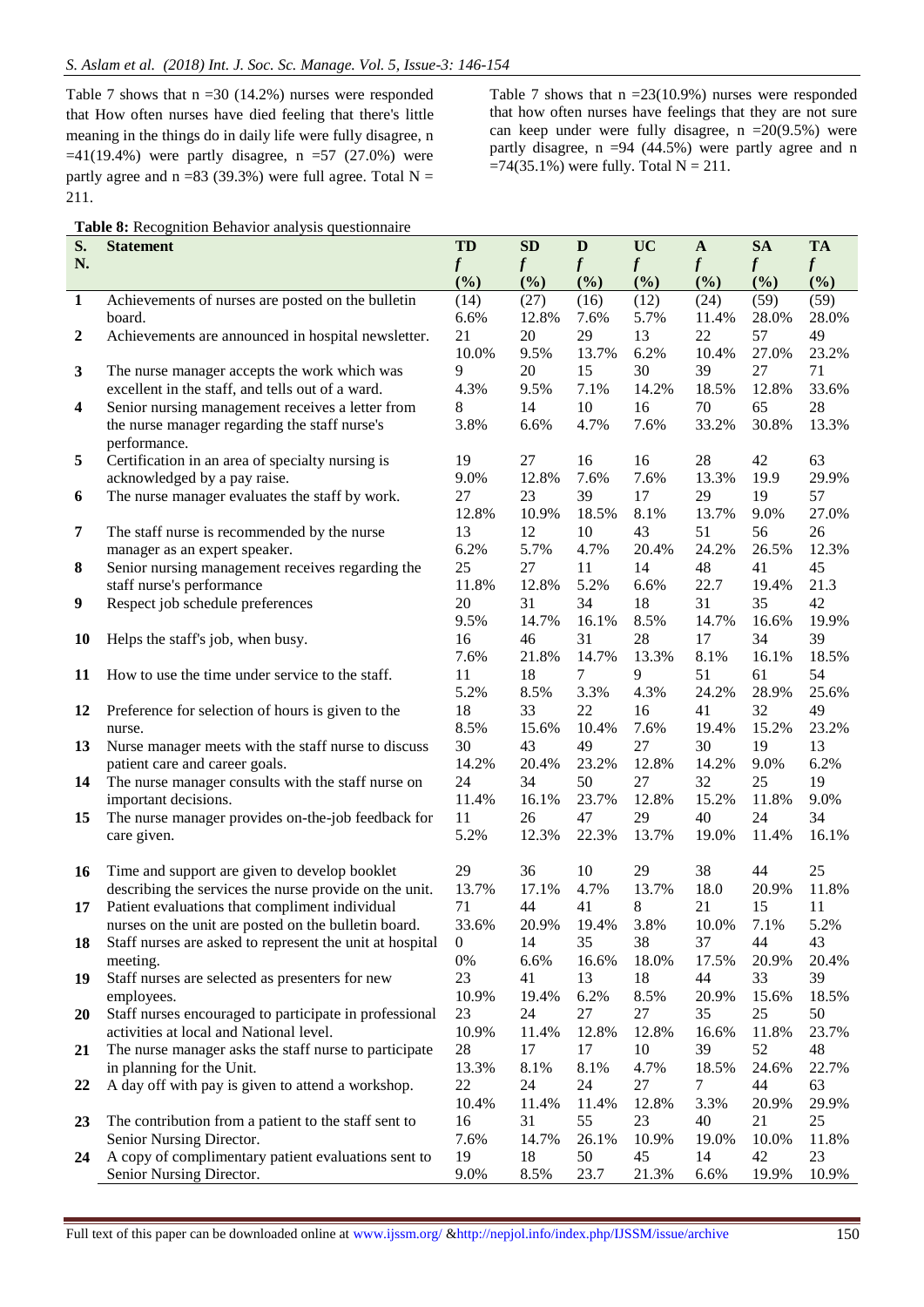Table 7 shows that  $n = 30$  (14.2%) nurses were responded that How often nurses have died feeling that there's little meaning in the things do in daily life were fully disagree, n  $=41(19.4\%)$  were partly disagree, n = 57 (27.0%) were partly agree and  $n = 83$  (39.3%) were full agree. Total N = 211.

Table 7 shows that  $n = 23(10.9%)$  nurses were responded that how often nurses have feelings that they are not sure can keep under were fully disagree,  $n = 20(9.5\%)$  were partly disagree, n =94 (44.5%) were partly agree and n  $=74(35.1\%)$  were fully. Total N = 211.

|  | Table 8: Recognition Behavior analysis questionnaire |  |  |  |  |
|--|------------------------------------------------------|--|--|--|--|
|--|------------------------------------------------------|--|--|--|--|

| S.               | asie of recognition Benavior anaryons questionnaire<br><b>Statement</b> | <b>TD</b>        | SD              | $\mathbf D$      | <b>UC</b>        | $\mathbf{A}$     | <b>SA</b>       | <b>TA</b>       |
|------------------|-------------------------------------------------------------------------|------------------|-----------------|------------------|------------------|------------------|-----------------|-----------------|
| N.               |                                                                         | $\boldsymbol{f}$ | $f_{\parallel}$ | $\boldsymbol{f}$ | $\boldsymbol{f}$ | $\boldsymbol{f}$ | $f_{\parallel}$ | $f_{\parallel}$ |
|                  |                                                                         | (%)              | (%)             | (%)              | (%)              | (%)              | (%)             | (%)             |
| $\mathbf{1}$     | Achievements of nurses are posted on the bulletin                       | (14)             | (27)            | (16)             | (12)             | (24)             | (59)            | (59)            |
|                  | board.                                                                  | 6.6%             | 12.8%           | 7.6%             | 5.7%             | 11.4%            | 28.0%           | 28.0%           |
| $\boldsymbol{2}$ | Achievements are announced in hospital newsletter.                      | 21               | 20              | 29               | 13               | 22               | 57              | 49              |
|                  |                                                                         | 10.0%            | 9.5%            | 13.7%            | 6.2%             | 10.4%            | 27.0%           | 23.2%           |
| $\mathbf{3}$     | The nurse manager accepts the work which was                            | 9                | 20              | 15               | 30               | 39               | 27              | 71              |
|                  | excellent in the staff, and tells out of a ward.                        | 4.3%             | 9.5%            | 7.1%             | 14.2%            | 18.5%            | 12.8%           | 33.6%           |
| $\boldsymbol{4}$ | Senior nursing management receives a letter from                        | 8                | 14              | 10               | 16               | 70               | 65              | 28              |
|                  | the nurse manager regarding the staff nurse's                           | 3.8%             | 6.6%            | 4.7%             | 7.6%             | 33.2%            | 30.8%           | 13.3%           |
|                  | performance.                                                            |                  |                 |                  |                  |                  |                 |                 |
| 5                | Certification in an area of specialty nursing is                        | 19               | 27              | 16               | 16               | 28               | 42              | 63              |
|                  | acknowledged by a pay raise.                                            | 9.0%             | 12.8%           | 7.6%             | 7.6%             | 13.3%            | 19.9            | 29.9%           |
| 6                | The nurse manager evaluates the staff by work.                          | 27               | 23              | 39               | 17               | 29               | 19              | 57              |
|                  |                                                                         | 12.8%            | 10.9%           | 18.5%            | 8.1%             | 13.7%            | 9.0%            | 27.0%           |
| 7                | The staff nurse is recommended by the nurse                             | 13               | 12              | 10               | 43               | 51               | 56              | 26              |
|                  | manager as an expert speaker.                                           | 6.2%             | 5.7%            | 4.7%             | 20.4%            | 24.2%            | 26.5%           | 12.3%           |
| 8                | Senior nursing management receives regarding the                        | 25               | 27              | 11               | 14               | 48               | 41              | 45              |
|                  | staff nurse's performance                                               | 11.8%            | 12.8%           | 5.2%             | 6.6%             | 22.7             | 19.4%           | 21.3            |
| 9                | Respect job schedule preferences                                        | 20               | 31              | 34               | 18               | 31               | 35              | 42              |
|                  |                                                                         | 9.5%             | 14.7%           | 16.1%            | 8.5%             | 14.7%            | 16.6%           | 19.9%           |
| 10               | Helps the staff's job, when busy.                                       | 16               | 46              | 31               | 28               | 17               | 34              | 39              |
|                  |                                                                         | 7.6%             | 21.8%           | 14.7%            | 13.3%            | 8.1%             | 16.1%           | 18.5%           |
| 11               | How to use the time under service to the staff.                         | 11               | 18              | $\tau$           | 9                | 51               | 61              | 54              |
|                  |                                                                         | 5.2%             | 8.5%            | 3.3%             | 4.3%             | 24.2%            | 28.9%           | 25.6%           |
| 12               | Preference for selection of hours is given to the                       | 18               | 33              | 22               | 16               | 41               | 32              | 49              |
|                  | nurse.                                                                  | 8.5%             | 15.6%           | 10.4%            | 7.6%             | 19.4%            | 15.2%           | 23.2%           |
| 13               | Nurse manager meets with the staff nurse to discuss                     | 30               | 43              | 49               | 27               | 30               | 19              | 13              |
|                  | patient care and career goals.                                          | 14.2%            | 20.4%           | 23.2%            | 12.8%            | 14.2%            | 9.0%            | 6.2%<br>19      |
| 14               | The nurse manager consults with the staff nurse on                      | 24<br>11.4%      | 34              | 50<br>23.7%      | 27<br>12.8%      | 32<br>15.2%      | 25              | 9.0%            |
|                  | important decisions.                                                    | 11               | 16.1%<br>26     | 47               | 29               | 40               | 11.8%<br>24     | 34              |
| 15               | The nurse manager provides on-the-job feedback for<br>care given.       | 5.2%             | 12.3%           | 22.3%            | 13.7%            | 19.0%            | 11.4%           | 16.1%           |
|                  |                                                                         |                  |                 |                  |                  |                  |                 |                 |
| 16               | Time and support are given to develop booklet                           | 29               | 36              | 10               | 29               | 38               | 44              | 25              |
|                  | describing the services the nurse provide on the unit.                  | 13.7%            | 17.1%           | 4.7%             | 13.7%            | 18.0             | 20.9%           | 11.8%           |
| 17               | Patient evaluations that compliment individual                          | 71               | 44              | 41               | 8                | 21               | 15              | 11              |
|                  | nurses on the unit are posted on the bulletin board.                    | 33.6%            | 20.9%           | 19.4%            | 3.8%             | 10.0%            | 7.1%            | 5.2%            |
| 18               | Staff nurses are asked to represent the unit at hospital                | $\overline{0}$   | 14              | 35               | 38               | 37               | 44              | 43              |
|                  | meeting.                                                                | 0%               | 6.6%            | 16.6%            | 18.0%            | 17.5%            | 20.9%           | 20.4%           |
| 19               | Staff nurses are selected as presenters for new                         | 23               | 41              | 13               | 18               | 44               | 33              | 39              |
|                  | employees.                                                              | 10.9%            | 19.4%           | 6.2%             | 8.5%             | 20.9%            | 15.6%           | 18.5%           |
| <b>20</b>        | Staff nurses encouraged to participate in professional                  | 23               | 24              | 27               | 27               | 35               | 25              | 50              |
|                  | activities at local and National level.                                 | 10.9%            | 11.4%           | 12.8%            | 12.8%            | 16.6%            | 11.8%           | 23.7%           |
| 21               | The nurse manager asks the staff nurse to participate                   | 28               | 17              | 17               | 10               | 39               | 52              | 48              |
|                  | in planning for the Unit.                                               | 13.3%            | 8.1%            | 8.1%             | 4.7%             | 18.5%            | 24.6%           | 22.7%           |
| 22               | A day off with pay is given to attend a workshop.                       | $22\,$           | 24              | 24               | 27               | $\tau$           | 44              | 63              |
|                  |                                                                         | 10.4%            | 11.4%           | 11.4%            | 12.8%            | 3.3%             | 20.9%           | 29.9%           |
| 23               | The contribution from a patient to the staff sent to                    | 16               | 31              | 55               | 23               | 40               | 21              | 25              |
|                  | Senior Nursing Director.                                                | 7.6%             | 14.7%           | 26.1%            | 10.9%            | 19.0%            | 10.0%           | 11.8%           |
| 24               | A copy of complimentary patient evaluations sent to                     | 19               | 18              | 50               | 45               | 14               | 42              | 23              |
|                  | Senior Nursing Director.                                                | 9.0%             | 8.5%            | 23.7             | 21.3%            | 6.6%             | 19.9%           | 10.9%           |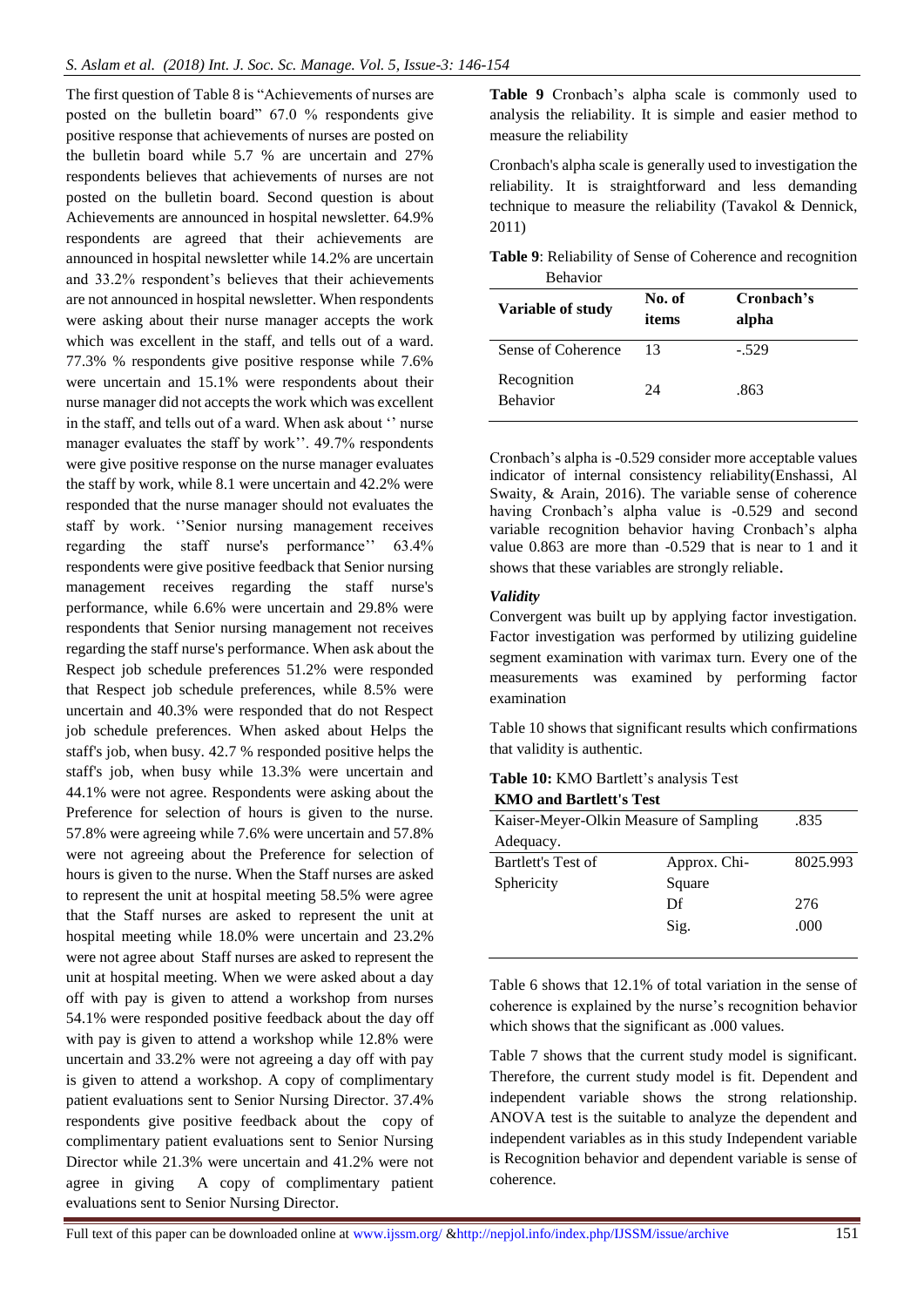The first question of Table 8 is "Achievements of nurses are posted on the bulletin board" 67.0 % respondents give positive response that achievements of nurses are posted on the bulletin board while 5.7 % are uncertain and 27% respondents believes that achievements of nurses are not posted on the bulletin board. Second question is about Achievements are announced in hospital newsletter. 64.9% respondents are agreed that their achievements are announced in hospital newsletter while 14.2% are uncertain and 33.2% respondent's believes that their achievements are not announced in hospital newsletter. When respondents were asking about their nurse manager accepts the work which was excellent in the staff, and tells out of a ward. 77.3% % respondents give positive response while 7.6% were uncertain and 15.1% were respondents about their nurse manager did not accepts the work which was excellent in the staff, and tells out of a ward. When ask about '' nurse manager evaluates the staff by work''. 49.7% respondents were give positive response on the nurse manager evaluates the staff by work, while 8.1 were uncertain and 42.2% were responded that the nurse manager should not evaluates the staff by work. ''Senior nursing management receives regarding the staff nurse's performance'' 63.4% respondents were give positive feedback that Senior nursing management receives regarding the staff nurse's performance, while 6.6% were uncertain and 29.8% were respondents that Senior nursing management not receives regarding the staff nurse's performance. When ask about the Respect job schedule preferences 51.2% were responded that Respect job schedule preferences, while 8.5% were uncertain and 40.3% were responded that do not Respect job schedule preferences. When asked about Helps the staff's job, when busy. 42.7 % responded positive helps the staff's job, when busy while 13.3% were uncertain and 44.1% were not agree. Respondents were asking about the Preference for selection of hours is given to the nurse. 57.8% were agreeing while 7.6% were uncertain and 57.8% were not agreeing about the Preference for selection of hours is given to the nurse. When the Staff nurses are asked to represent the unit at hospital meeting 58.5% were agree that the Staff nurses are asked to represent the unit at hospital meeting while 18.0% were uncertain and 23.2% were not agree about Staff nurses are asked to represent the unit at hospital meeting. When we were asked about a day off with pay is given to attend a workshop from nurses 54.1% were responded positive feedback about the day off with pay is given to attend a workshop while 12.8% were uncertain and 33.2% were not agreeing a day off with pay is given to attend a workshop. A copy of complimentary patient evaluations sent to Senior Nursing Director. 37.4% respondents give positive feedback about the copy of complimentary patient evaluations sent to Senior Nursing Director while 21.3% were uncertain and 41.2% were not agree in giving A copy of complimentary patient evaluations sent to Senior Nursing Director.

**Table 9** Cronbach's alpha scale is commonly used to analysis the reliability. It is simple and easier method to measure the reliability

Cronbach's alpha scale is generally used to investigation the reliability. It is straightforward and less demanding technique to measure the reliability (Tavakol & Dennick, 2011)

**Table 9**: Reliability of Sense of Coherence and recognition Behavior

| -------<br>Variable of study   | No. of<br>items | Cronbach's<br>alpha |
|--------------------------------|-----------------|---------------------|
| Sense of Coherence             | 13              | $-529$              |
| Recognition<br><b>Behavior</b> | 24              | .863                |

Cronbach's alpha is -0.529 consider more acceptable values indicator of internal consistency reliability(Enshassi, Al Swaity, & Arain, 2016). The variable sense of coherence having Cronbach's alpha value is -0.529 and second variable recognition behavior having Cronbach's alpha value 0.863 are more than -0.529 that is near to 1 and it shows that these variables are strongly reliable.

# *Validity*

Convergent was built up by applying factor investigation. Factor investigation was performed by utilizing guideline segment examination with varimax turn. Every one of the measurements was examined by performing factor examination

Table 10 shows that significant results which confirmations that validity is authentic.

**Table 10:** KMO Bartlett's analysis Test **KMO and Bartlett's Test**

| NNIU anu dafuell s-fest                |              |          |  |  |  |  |
|----------------------------------------|--------------|----------|--|--|--|--|
| Kaiser-Meyer-Olkin Measure of Sampling | .835         |          |  |  |  |  |
| Adequacy.                              |              |          |  |  |  |  |
| Bartlett's Test of                     | Approx. Chi- | 8025.993 |  |  |  |  |
| Sphericity                             | Square       |          |  |  |  |  |
|                                        | Df           | 276      |  |  |  |  |
|                                        | Sig.         | .000     |  |  |  |  |
|                                        |              |          |  |  |  |  |

Table 6 shows that 12.1% of total variation in the sense of coherence is explained by the nurse's recognition behavior which shows that the significant as .000 values.

Table 7 shows that the current study model is significant. Therefore, the current study model is fit. Dependent and independent variable shows the strong relationship. ANOVA test is the suitable to analyze the dependent and independent variables as in this study Independent variable is Recognition behavior and dependent variable is sense of coherence.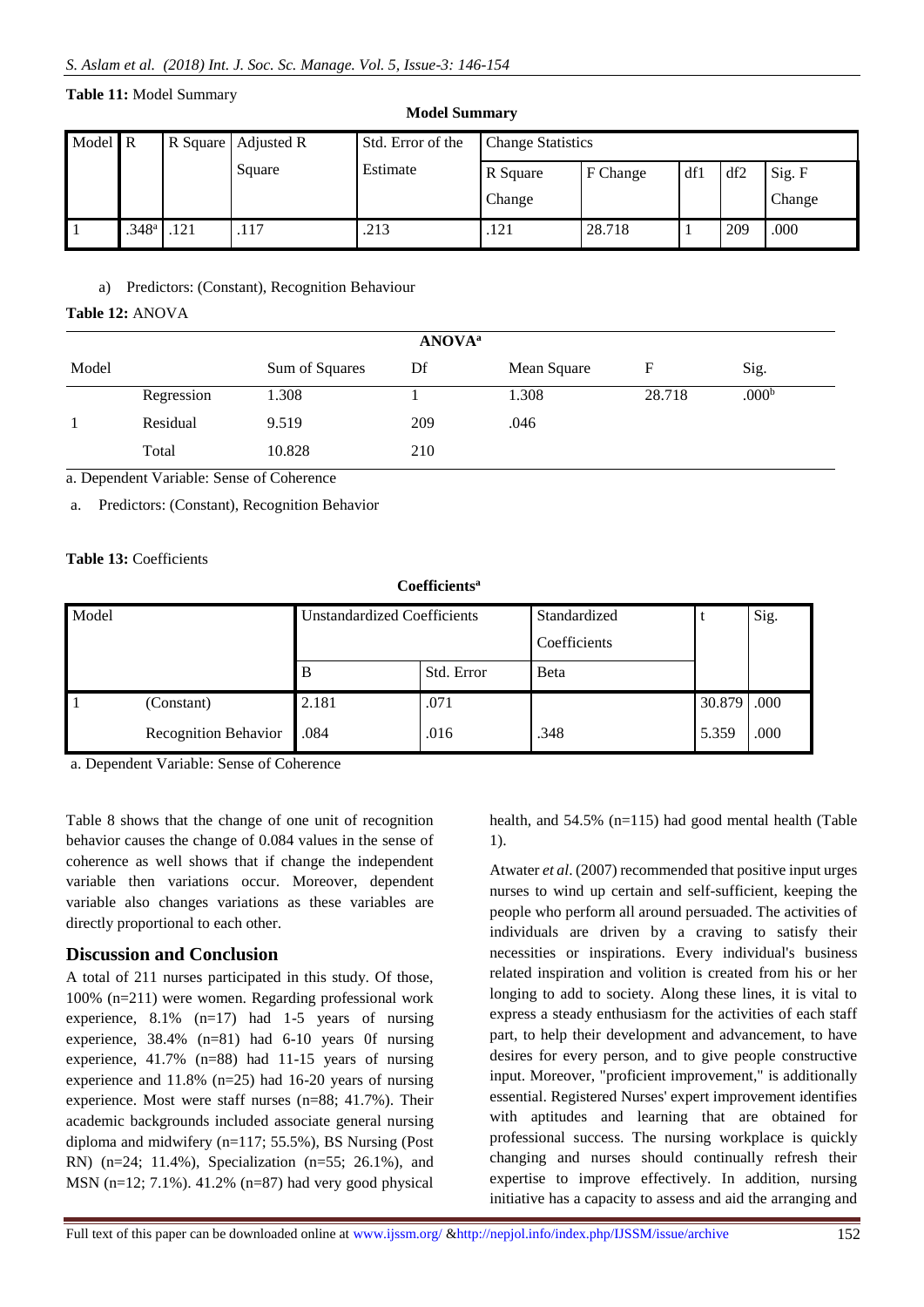# **Table 11:** Model Summary

| Model R |                   |      | R Square   Adjusted R | Std. Error of the | <b>Change Statistics</b> |          |     |     |                  |
|---------|-------------------|------|-----------------------|-------------------|--------------------------|----------|-----|-----|------------------|
|         |                   |      | Square                | Estimate          | R Square<br>Change       | F Change | df1 | df2 | Sig. F<br>Change |
|         | .348 <sup>a</sup> | .121 | -17                   | .213              | .121                     | 28.718   |     | 209 | .000             |

## **Model Summary**

# a) Predictors: (Constant), Recognition Behaviour

# **Table 12:** ANOVA

| <b>ANOVA</b> <sup>a</sup> |            |                |     |             |        |                   |  |
|---------------------------|------------|----------------|-----|-------------|--------|-------------------|--|
| Model                     |            | Sum of Squares | Df  | Mean Square | F      | Sig.              |  |
|                           | Regression | 1.308          |     | 1.308       | 28.718 | .000 <sup>b</sup> |  |
|                           | Residual   | 9.519          | 209 | .046        |        |                   |  |
|                           | Total      | 10.828         | 210 |             |        |                   |  |

a. Dependent Variable: Sense of Coherence

a. Predictors: (Constant), Recognition Behavior

# **Table 13:** Coefficients

# **Coefficients<sup>a</sup>**

| Model |                      | <b>Unstandardized Coefficients</b> |            | Standardized<br>Coefficients |             | Sig. |
|-------|----------------------|------------------------------------|------------|------------------------------|-------------|------|
|       |                      | B                                  | Std. Error | Beta                         |             |      |
|       | (Constant)           | 2.181                              | .071       |                              | 30.879 .000 |      |
|       | Recognition Behavior | .084                               | .016       | .348                         | 5.359       | .000 |

a. Dependent Variable: Sense of Coherence

Table 8 shows that the change of one unit of recognition behavior causes the change of 0.084 values in the sense of coherence as well shows that if change the independent variable then variations occur. Moreover, dependent variable also changes variations as these variables are directly proportional to each other.

# **Discussion and Conclusion**

A total of 211 nurses participated in this study. Of those, 100% (n=211) were women. Regarding professional work experience,  $8.1\%$  (n=17) had 1-5 years of nursing experience, 38.4% (n=81) had 6-10 years 0f nursing experience, 41.7% (n=88) had 11-15 years of nursing experience and 11.8% (n=25) had 16-20 years of nursing experience. Most were staff nurses (n=88; 41.7%). Their academic backgrounds included associate general nursing diploma and midwifery (n=117; 55.5%), BS Nursing (Post RN) (n=24; 11.4%), Specialization (n=55; 26.1%), and MSN (n=12; 7.1%). 41.2% (n=87) had very good physical

health, and 54.5% (n=115) had good mental health (Table 1).

Atwater *et al*. (2007) recommended that positive input urges nurses to wind up certain and self-sufficient, keeping the people who perform all around persuaded. The activities of individuals are driven by a craving to satisfy their necessities or inspirations. Every individual's business related inspiration and volition is created from his or her longing to add to society. Along these lines, it is vital to express a steady enthusiasm for the activities of each staff part, to help their development and advancement, to have desires for every person, and to give people constructive input. Moreover, "proficient improvement," is additionally essential. Registered Nurses' expert improvement identifies with aptitudes and learning that are obtained for professional success. The nursing workplace is quickly changing and nurses should continually refresh their expertise to improve effectively. In addition, nursing initiative has a capacity to assess and aid the arranging and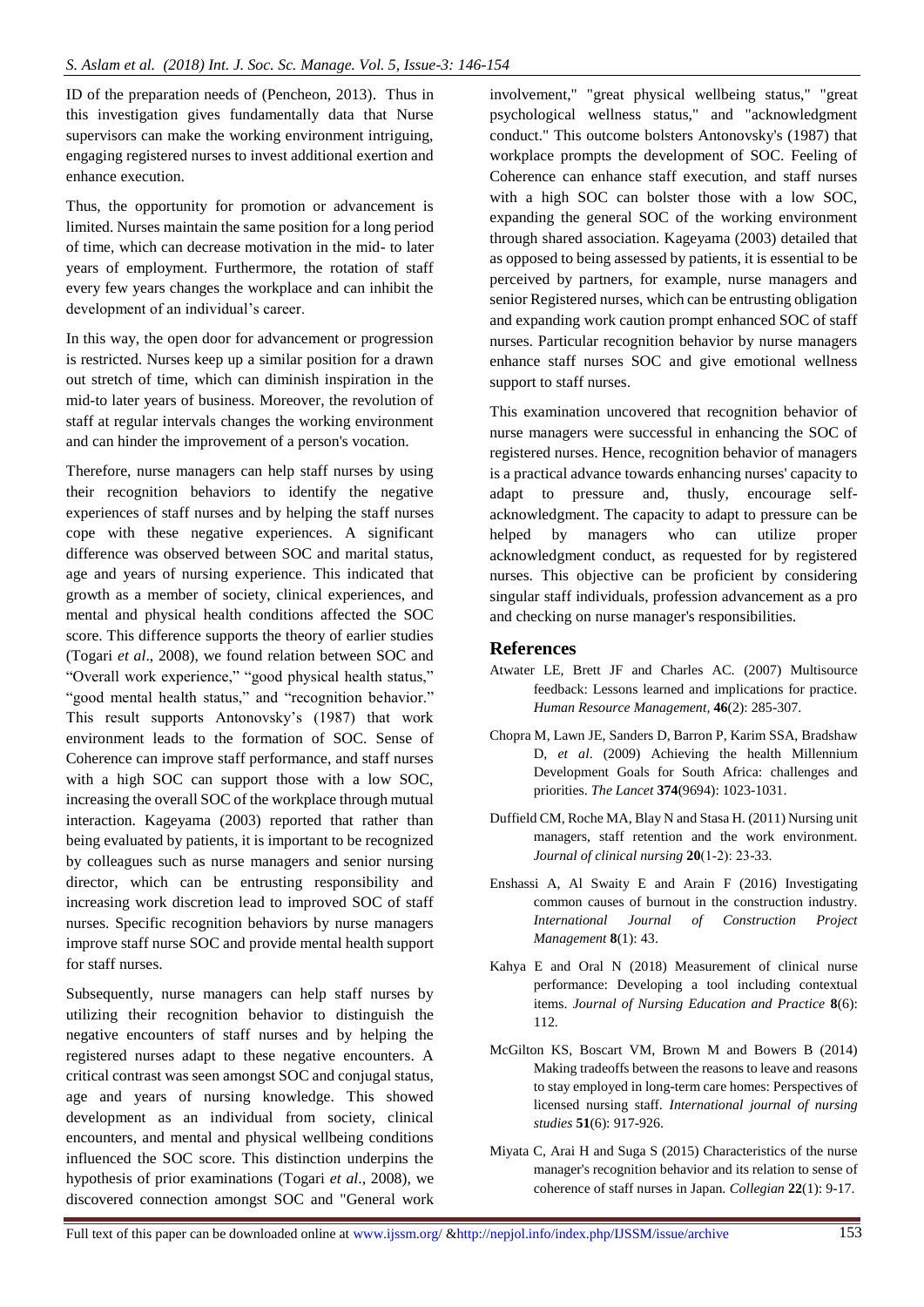ID of the preparation needs of (Pencheon, 2013). Thus in this investigation gives fundamentally data that Nurse supervisors can make the working environment intriguing, engaging registered nurses to invest additional exertion and enhance execution.

Thus, the opportunity for promotion or advancement is limited. Nurses maintain the same position for a long period of time, which can decrease motivation in the mid- to later years of employment. Furthermore, the rotation of staff every few years changes the workplace and can inhibit the development of an individual's career.

In this way, the open door for advancement or progression is restricted. Nurses keep up a similar position for a drawn out stretch of time, which can diminish inspiration in the mid-to later years of business. Moreover, the revolution of staff at regular intervals changes the working environment and can hinder the improvement of a person's vocation.

Therefore, nurse managers can help staff nurses by using their recognition behaviors to identify the negative experiences of staff nurses and by helping the staff nurses cope with these negative experiences. A significant difference was observed between SOC and marital status, age and years of nursing experience. This indicated that growth as a member of society, clinical experiences, and mental and physical health conditions affected the SOC score. This difference supports the theory of earlier studies (Togari *et al*., 2008), we found relation between SOC and "Overall work experience," "good physical health status," "good mental health status," and "recognition behavior." This result supports Antonovsky's (1987) that work environment leads to the formation of SOC. Sense of Coherence can improve staff performance, and staff nurses with a high SOC can support those with a low SOC, increasing the overall SOC of the workplace through mutual interaction. Kageyama (2003) reported that rather than being evaluated by patients, it is important to be recognized by colleagues such as nurse managers and senior nursing director, which can be entrusting responsibility and increasing work discretion lead to improved SOC of staff nurses. Specific recognition behaviors by nurse managers improve staff nurse SOC and provide mental health support for staff nurses.

Subsequently, nurse managers can help staff nurses by utilizing their recognition behavior to distinguish the negative encounters of staff nurses and by helping the registered nurses adapt to these negative encounters. A critical contrast was seen amongst SOC and conjugal status, age and years of nursing knowledge. This showed development as an individual from society, clinical encounters, and mental and physical wellbeing conditions influenced the SOC score. This distinction underpins the hypothesis of prior examinations (Togari *et al*., 2008), we discovered connection amongst SOC and "General work

involvement," "great physical wellbeing status," "great psychological wellness status," and "acknowledgment conduct." This outcome bolsters Antonovsky's (1987) that workplace prompts the development of SOC. Feeling of Coherence can enhance staff execution, and staff nurses with a high SOC can bolster those with a low SOC, expanding the general SOC of the working environment through shared association. Kageyama (2003) detailed that as opposed to being assessed by patients, it is essential to be perceived by partners, for example, nurse managers and senior Registered nurses, which can be entrusting obligation and expanding work caution prompt enhanced SOC of staff nurses. Particular recognition behavior by nurse managers enhance staff nurses SOC and give emotional wellness support to staff nurses.

This examination uncovered that recognition behavior of nurse managers were successful in enhancing the SOC of registered nurses. Hence, recognition behavior of managers is a practical advance towards enhancing nurses' capacity to adapt to pressure and, thusly, encourage selfacknowledgment. The capacity to adapt to pressure can be helped by managers who can utilize proper acknowledgment conduct, as requested for by registered nurses. This objective can be proficient by considering singular staff individuals, profession advancement as a pro and checking on nurse manager's responsibilities.

# **References**

- Atwater LE, Brett JF and Charles AC. (2007) Multisource feedback: Lessons learned and implications for practice. *Human Resource Management,* **46**(2): 285-307.
- Chopra M, Lawn JE, Sanders D, Barron P, Karim SSA, Bradshaw D, *et al*. (2009) Achieving the health Millennium Development Goals for South Africa: challenges and priorities. *The Lancet* **374**(9694): 1023-1031.
- Duffield CM, Roche MA, Blay N and Stasa H. (2011) Nursing unit managers, staff retention and the work environment. *Journal of clinical nursing* **20**(1‐2): 23-33.
- Enshassi A, Al Swaity E and Arain F (2016) Investigating common causes of burnout in the construction industry. *International Journal of Construction Project Management* **8**(1): 43.
- Kahya E and Oral N (2018) Measurement of clinical nurse performance: Developing a tool including contextual items. *Journal of Nursing Education and Practice* **8**(6): 112.
- McGilton KS, Boscart VM, Brown M and Bowers B (2014) Making tradeoffs between the reasons to leave and reasons to stay employed in long-term care homes: Perspectives of licensed nursing staff. *International journal of nursing studies* **51**(6): 917-926.
- Miyata C, Arai H and Suga S (2015) Characteristics of the nurse manager's recognition behavior and its relation to sense of coherence of staff nurses in Japan. *Collegian* **22**(1): 9-17.